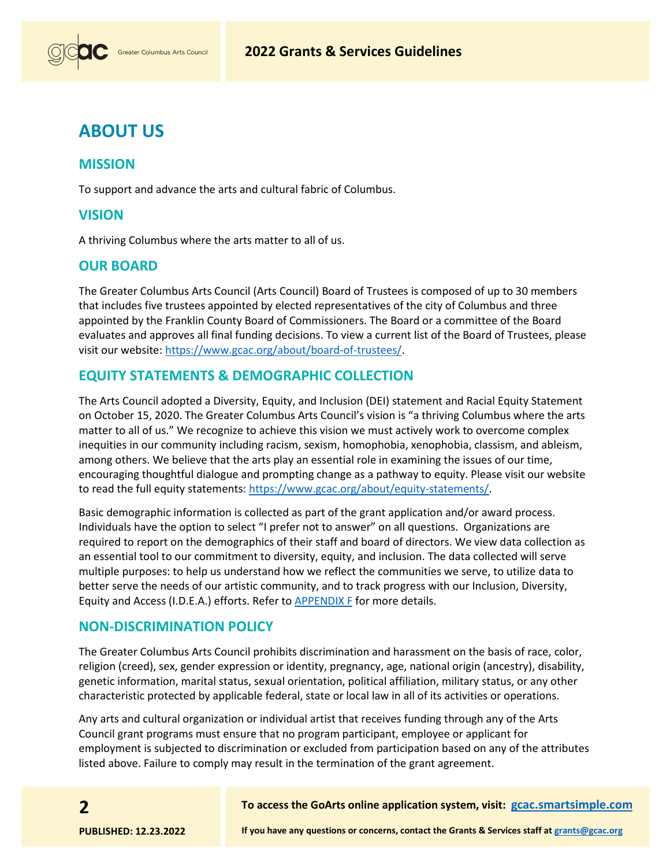

# **ABOUT US**

### **MISSION**

To support and advance the arts and cultural fabric of Columbus.

### **VISION**

A thriving Columbus where the arts matter to all of us.

## **OUR BOARD**

The Greater Columbus Arts Council (Arts Council) Board of Trustees is composed of up to 30 members that includes five trustees appointed by elected representatives of the city of Columbus and three appointed by the Franklin County Board of Commissioners. The Board or a committee of the Board evaluates and approves all final funding decisions. To view a current list of the Board of Trustees, please visit our website: [https://www.gcac.org/about/board-of-trustees/.](https://www.gcac.org/about/board-of-trustees/)

## **EQUITY STATEMENTS & DEMOGRAPHIC COLLECTION**

The Arts Council adopted a Diversity, Equity, and Inclusion (DEI) statement and Racial Equity Statement on October 15, 2020. The Greater Columbus Arts Council's vision is "a thriving Columbus where the arts matter to all of us." We recognize to achieve this vision we must actively work to overcome complex inequities in our community including racism, sexism, homophobia, xenophobia, classism, and ableism, among others. We believe that the arts play an essential role in examining the issues of our time, encouraging thoughtful dialogue and prompting change as a pathway to equity. Please visit our website to read the full equity statements[: https://www.gcac.org/about/equity-statements/.](https://www.gcac.org/about/equity-statements/)

Basic demographic information is collected as part of the grant application and/or award process. Individuals have the option to select "I prefer not to answer" on all questions. Organizations are required to report on the demographics of their staff and board of directors. We view data collection as an essential tool to our commitment to diversity, equity, and inclusion. The data collected will serve multiple purposes: to help us understand how we reflect the communities we serve, to utilize data to better serve the needs of our artistic community, and to track progress with our Inclusion, Diversity, Equity and Access (I.D.E.A.) efforts. Refer to [APPENDIX F](http://www.gcac.org/wp-content/uploads/2021/11/Grant-Guidelines-Appendix-F-2022.pdf) for more details.

### **NON-DISCRIMINATION POLICY**

The Greater Columbus Arts Council prohibits discrimination and harassment on the basis of race, color, religion (creed), sex, gender expression or identity, pregnancy, age, national origin (ancestry), disability, genetic information, marital status, sexual orientation, political affiliation, military status, or any other characteristic protected by applicable federal, state or local law in all of its activities or operations.

Any arts and cultural organization or individual artist that receives funding through any of the Arts Council grant programs must ensure that no program participant, employee or applicant for employment is subjected to discrimination or excluded from participation based on any of the attributes listed above. Failure to comply may result in the termination of the grant agreement.

#### **To access the GoArts online application system, visit: [gcac.smartsimple.com](https://gcac.smartsimple.com/)**

**2**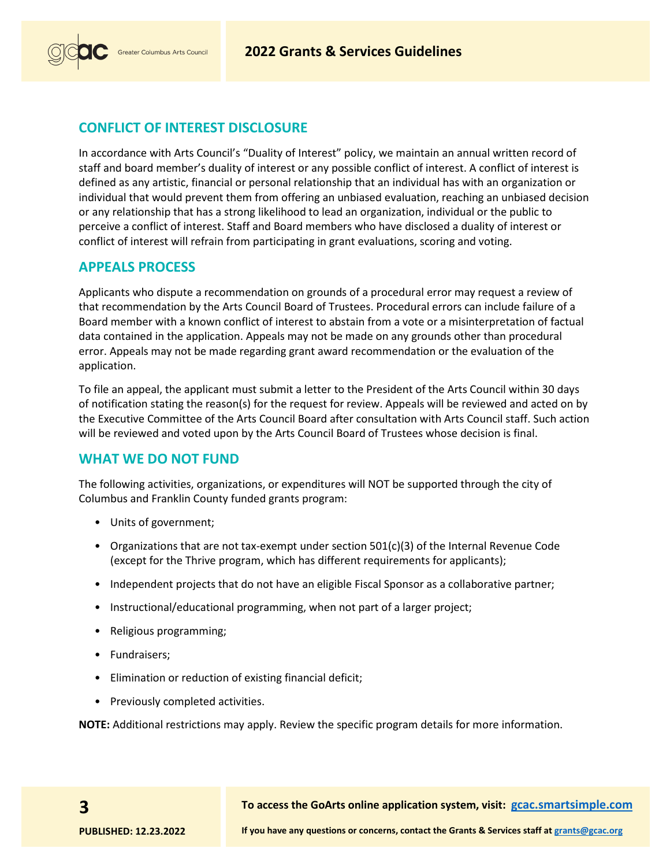

# **CONFLICT OF INTEREST DISCLOSURE**

In accordance with Arts Council's "Duality of Interest" policy, we maintain an annual written record of staff and board member's duality of interest or any possible conflict of interest. A conflict of interest is defined as any artistic, financial or personal relationship that an individual has with an organization or individual that would prevent them from offering an unbiased evaluation, reaching an unbiased decision or any relationship that has a strong likelihood to lead an organization, individual or the public to perceive a conflict of interest. Staff and Board members who have disclosed a duality of interest or conflict of interest will refrain from participating in grant evaluations, scoring and voting.

### **APPEALS PROCESS**

Applicants who dispute a recommendation on grounds of a procedural error may request a review of that recommendation by the Arts Council Board of Trustees. Procedural errors can include failure of a Board member with a known conflict of interest to abstain from a vote or a misinterpretation of factual data contained in the application. Appeals may not be made on any grounds other than procedural error. Appeals may not be made regarding grant award recommendation or the evaluation of the application.

To file an appeal, the applicant must submit a letter to the President of the Arts Council within 30 days of notification stating the reason(s) for the request for review. Appeals will be reviewed and acted on by the Executive Committee of the Arts Council Board after consultation with Arts Council staff. Such action will be reviewed and voted upon by the Arts Council Board of Trustees whose decision is final.

## **WHAT WE DO NOT FUND**

The following activities, organizations, or expenditures will NOT be supported through the city of Columbus and Franklin County funded grants program:

- Units of government;
- Organizations that are not tax-exempt under section 501(c)(3) of the Internal Revenue Code (except for the Thrive program, which has different requirements for applicants);
- Independent projects that do not have an eligible Fiscal Sponsor as a collaborative partner;
- Instructional/educational programming, when not part of a larger project;
- Religious programming;
- Fundraisers;
- Elimination or reduction of existing financial deficit;
- Previously completed activities.

**NOTE:** Additional restrictions may apply. Review the specific program details for more information.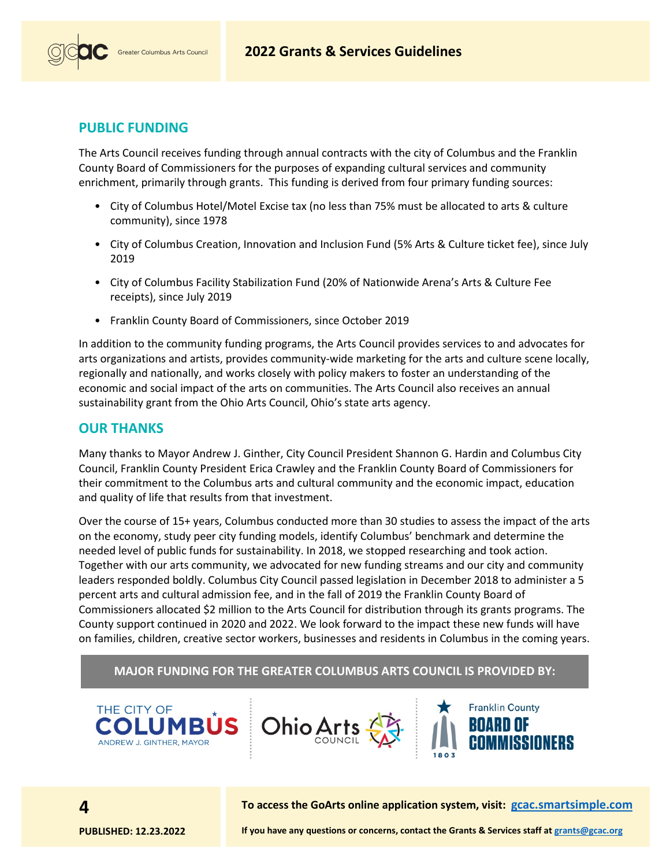



## **PUBLIC FUNDING**

The Arts Council receives funding through annual contracts with the city of Columbus and the Franklin County Board of Commissioners for the purposes of expanding cultural services and community enrichment, primarily through grants. This funding is derived from four primary funding sources:

- City of Columbus Hotel/Motel Excise tax (no less than 75% must be allocated to arts & culture community), since 1978
- City of Columbus Creation, Innovation and Inclusion Fund (5% Arts & Culture ticket fee), since July 2019
- City of Columbus Facility Stabilization Fund (20% of Nationwide Arena's Arts & Culture Fee receipts), since July 2019
- Franklin County Board of Commissioners, since October 2019

In addition to the community funding programs, the Arts Council provides services to and advocates for arts organizations and artists, provides community-wide marketing for the arts and culture scene locally, regionally and nationally, and works closely with policy makers to foster an understanding of the economic and social impact of the arts on communities. The Arts Council also receives an annual sustainability grant from the Ohio Arts Council, Ohio's state arts agency.

### **OUR THANKS**

Many thanks to Mayor Andrew J. Ginther, City Council President Shannon G. Hardin and Columbus City Council, Franklin County President Erica Crawley and the Franklin County Board of Commissioners for their commitment to the Columbus arts and cultural community and the economic impact, education and quality of life that results from that investment.

Over the course of 15+ years, Columbus conducted more than 30 studies to assess the impact of the arts on the economy, study peer city funding models, identify Columbus' benchmark and determine the needed level of public funds for sustainability. In 2018, we stopped researching and took action. Together with our arts community, we advocated for new funding streams and our city and community leaders responded boldly. Columbus City Council passed legislation in December 2018 to administer a 5 percent arts and cultural admission fee, and in the fall of 2019 the Franklin County Board of Commissioners allocated \$2 million to the Arts Council for distribution through its grants programs. The County support continued in 2020 and 2022. We look forward to the impact these new funds will have on families, children, creative sector workers, businesses and residents in Columbus in the coming years.

### **MAJOR FUNDING FOR THE GREATER COLUMBUS ARTS COUNCIL IS PROVIDED BY:**





THE CITY OF

ANDREW J. GINTHER, MAYOR

**To access the GoArts online application system, visit: [gcac.smartsimple.com](https://gcac.smartsimple.com/)**